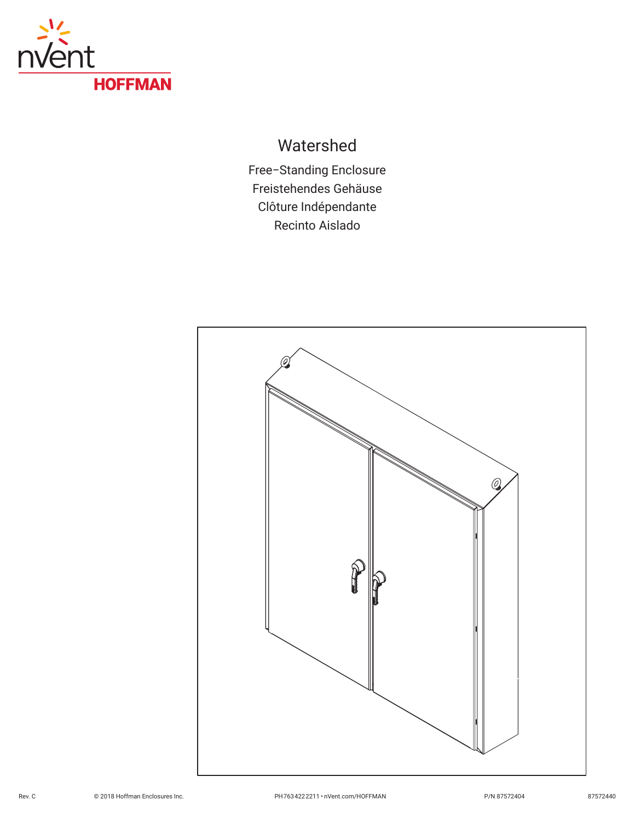

# Watershed

Free−Standing Enclosure Freistehendes Gehäuse Clôture Indépendante Recinto Aislado

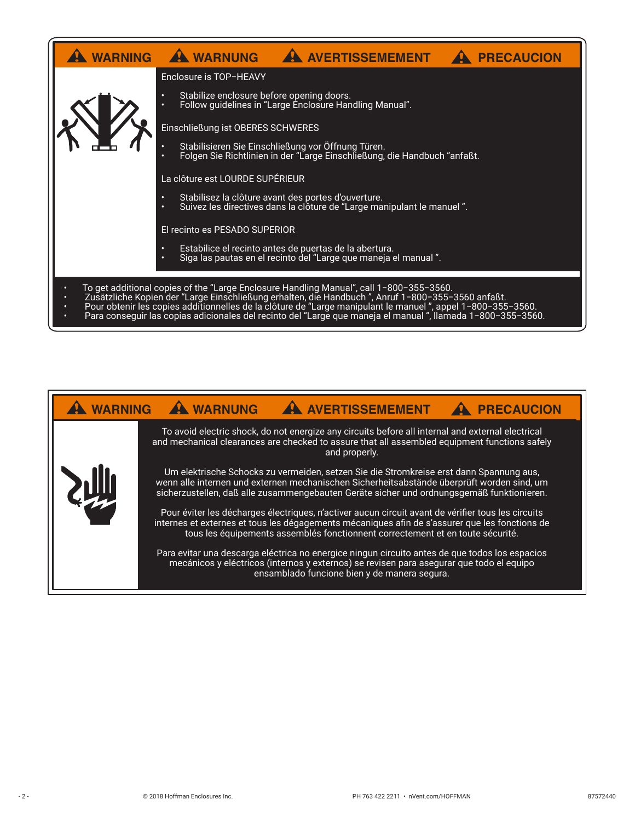|                                                                                                                                                                                                                            | WARNING A WARNUNG A AVERTISSEMEMENT A<br>PRECAUCION                                                                             |
|----------------------------------------------------------------------------------------------------------------------------------------------------------------------------------------------------------------------------|---------------------------------------------------------------------------------------------------------------------------------|
|                                                                                                                                                                                                                            | Enclosure is TOP-HEAVY                                                                                                          |
|                                                                                                                                                                                                                            | Stabilize enclosure before opening doors.<br>Follow guidelines in "Large Enclosure Handling Manual".                            |
|                                                                                                                                                                                                                            | Einschließung ist OBERES SCHWERES                                                                                               |
|                                                                                                                                                                                                                            | Stabilisieren Sie Einschließung vor Öffnung Türen.<br>Folgen Sie Richtlinien in der "Large Einschließung, die Handbuch "anfaßt. |
|                                                                                                                                                                                                                            | La clôture est LOURDE SUPÉRIEUR                                                                                                 |
|                                                                                                                                                                                                                            | Stabilisez la clôture avant des portes d'ouverture.<br>Suivez les directives dans la clôture de "Large manipulant le manuel".   |
|                                                                                                                                                                                                                            | El recinto es PESADO SUPERIOR                                                                                                   |
|                                                                                                                                                                                                                            | Estabilice el recinto antes de puertas de la abertura.<br>Siga las pautas en el recinto del "Large que maneja el manual".       |
| To get additional copies of the "Large Enclosure Handling Manual", call 1-800-355-3560.                                                                                                                                    |                                                                                                                                 |
| Zusätzliche Kopien der "Large Einschließung erhalten, die Handbuch ", Anruf 1-800-355-3560 anfaßt.                                                                                                                         |                                                                                                                                 |
| Pour obtenir les copies additionnelles de la clôture de "Large manipulant le manuel", appel 1-800-355-3560.<br>Para conseguir las copias adicionales del recinto del "Large que maneja el manuel", llamada 1-800-355-3560. |                                                                                                                                 |

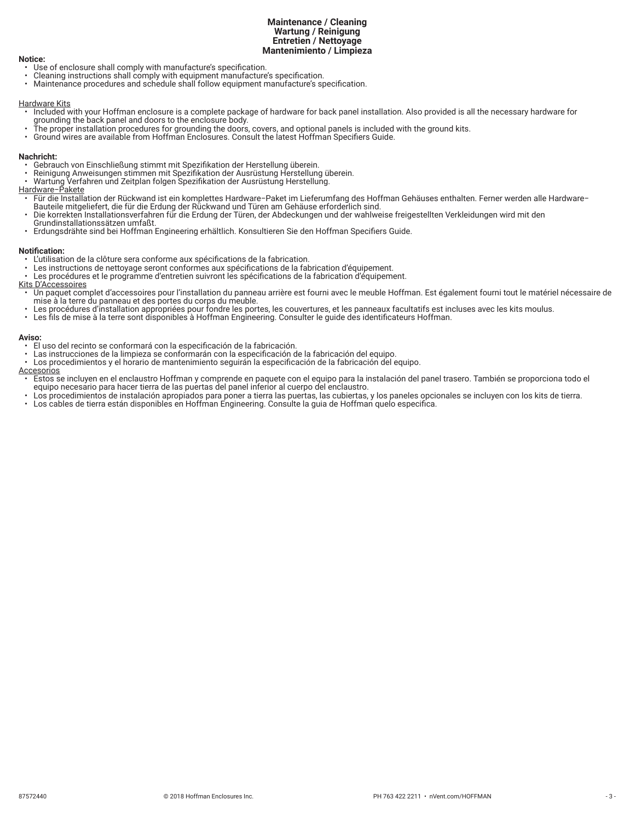## **Maintenance / Cleaning Wartung / Reinigung Entretien / Nettoyage Mantenimiento / Limpieza**

#### **Notice:**

- Use of enclosure shall comply with manufacture's specification.
- Cleaning instructions shall comply with equipment manufacture's specification.
- Maintenance procedures and schedule shall follow equipment manufacture's specification.

# Hardware Kits

- Included with your Hoffman enclosure is a complete package of hardware for back panel installation. Also provided is all the necessary hardware for grounding the back panel and doors to the enclosure body.
- The proper installation procedures for grounding the doors, covers, and optional panels is included with the ground kits.
- Ground wires are available from Hoffman Enclosures. Consult the latest Hoffman Specifiers Guide.

# **Nachricht:**

- Gebrauch von Einschließung stimmt mit Spezifikation der Herstellung überein.
- Reinigung Anweisungen stimmen mit Spezifikation der Ausrüstung Herstellung überein.
- Wartung Verfahren und Zeitplan folgen Spezifikation der Ausrüstung Herstellung.

# Hardware−Pakete

- Für die Installation der Rückwand ist ein komplettes Hardware−Paket im Lieferumfang des Hoffman Gehäuses enthalten. Ferner werden alle Hardware− Bauteile mitgeliefert, die für die Erdung der Rückwand und Türen am Gehäuse erforderlich sind.
- Die korrekten Installationsverfahren für die Erdung der Türen, der Abdeckungen und der wahlweise freigestellten Verkleidungen wird mit den
- Grundinstallationssätzen umfaßt.
- Erdungsdrähte sind bei Hoffman Engineering erhältlich. Konsultieren Sie den Hoffman Specifiers Guide.

# **Notification:**

- L'utilisation de la clôture sera conforme aux spécifications de la fabrication.
- Les instructions de nettoyage seront conformes aux spécifications de la fabrication d'équipement.
- Les procédures et le programme d'entretien suivront les spécifications de la fabrication d'équipement.
- Kits D'Accessoires
- Un paquet complet d'accessoires pour l'installation du panneau arrière est fourni avec le meuble Hoffman. Est également fourni tout le matériel nécessaire de mise à la terre du panneau et des portes du corps du meuble.
- Les procédures d'installation appropriées pour fondre les portes, les couvertures, et les panneaux facultatifs est incluses avec les kits moulus.
- Les fils de mise à la terre sont disponibles à Hoffman Engineering. Consulter le guide des identificateurs Hoffman.

## **Aviso:**

- El uso del recinto se conformará con la especificación de la fabricación.
- Las instrucciones de la limpieza se conformarán con la especificación de la fabricación del equipo.
- Los procedimientos y el horario de mantenimiento seguirán la especificación de la fabricación del equipo.
- **Accesorios**
- Estos se incluyen en el enclaustro Hoffman y comprende en paquete con el equipo para la instalación del panel trasero. También se proporciona todo el equipo necesario para hacer tierra de las puertas del panel inferior al cuerpo del enclaustro.
- Los procedimientos de instalación apropiados para poner a tierra las puertas, las cubiertas, y los paneles opcionales se incluyen con los kits de tierra.
- Los cables de tierra están disponibles en Hoffman Engineering. Consulte la guia de Hoffman quelo especifica.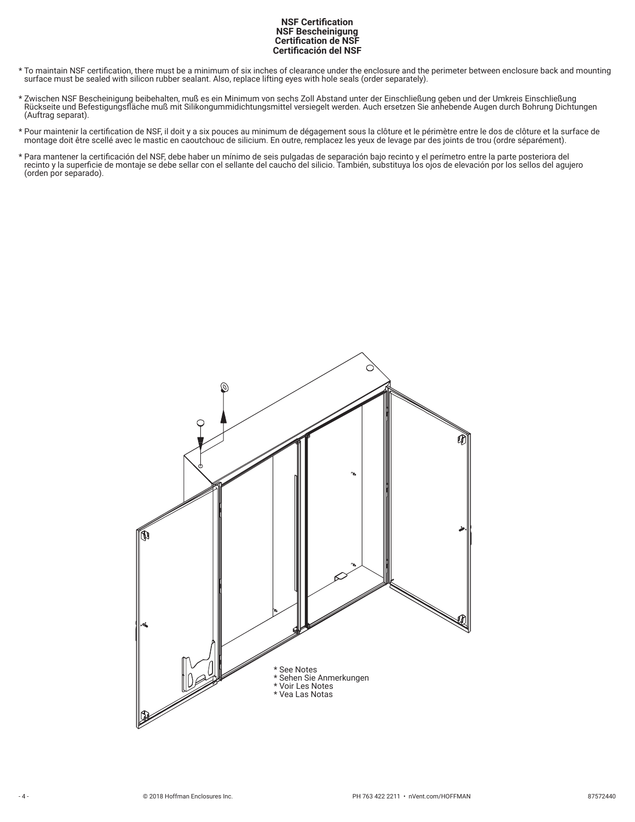# **NSF Certification NSF Bescheinigung Certification de NSF Certificación del NSF**

- \* To maintain NSF certification, there must be a minimum of six inches of clearance under the enclosure and the perimeter between enclosure back and mounting surface must be sealed with silicon rubber sealant. Also, replace lifting eyes with hole seals (order separately).
- \* Zwischen NSF Bescheinigung beibehalten, muß es ein Minimum von sechs Zoll Abstand unter der Einschließung geben und der Umkreis Einschließung Rückseite und Befestigungsfläche muß mit Silikongummidichtungsmittel versiegelt werden. Auch ersetzen Sie anhebende Augen durch Bohrung Dichtungen (Auftrag separat).
- \* Pour maintenir la certification de NSF, il doit y a six pouces au minimum de dégagement sous la clôture et le périmètre entre le dos de clôture et la surface de montage doit être scellé avec le mastic en caoutchouc de silicium. En outre, remplacez les yeux de levage par des joints de trou (ordre séparément).
- \* Para mantener la certificación del NSF, debe haber un mínimo de seis pulgadas de separación bajo recinto y el perímetro entre la parte posteriora del recinto y la superficie de montaje se debe sellar con el sellante del caucho del silicio. También, substituya los ojos de elevación por los sellos del agujero (orden por separado).

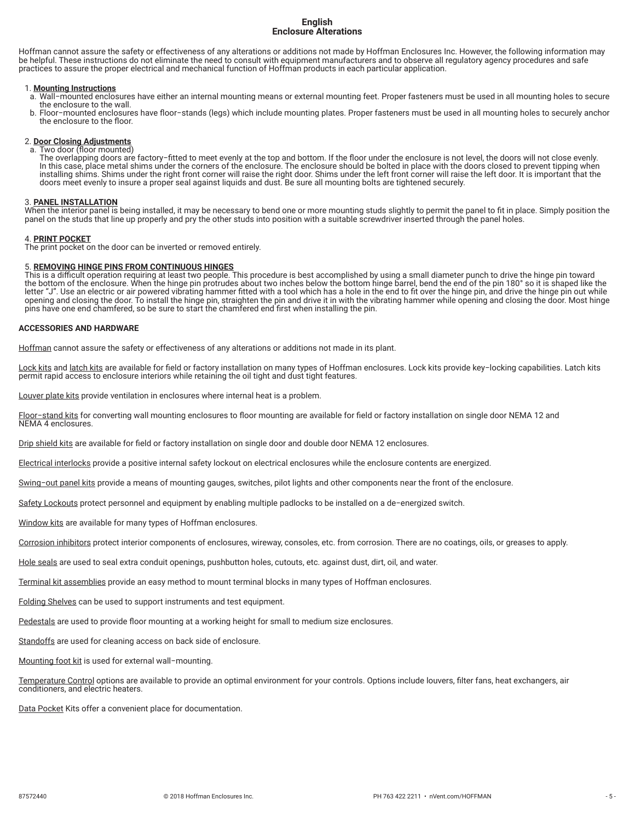# **English Enclosure Alterations**

Hoffman cannot assure the safety or effectiveness of any alterations or additions not made by Hoffman Enclosures Inc. However, the following information may be helpful. These instructions do not eliminate the need to consult with equipment manufacturers and to observe all regulatory agency procedures and safe practices to assure the proper electrical and mechanical function of Hoffman products in each particular application.

#### 1. **Mounting Instructions**

- a. Wall−mounted enclosures have either an internal mounting means or external mounting feet. Proper fasteners must be used in all mounting holes to secure the enclosure to the wall.
- b. Floor−mounted enclosures have floor−stands (legs) which include mounting plates. Proper fasteners must be used in all mounting holes to securely anchor the enclosure to the floor.

# 2. **Door Closing Adjustments**

a. Two door (floor mounted) The overlapping doors are factory−fitted to meet evenly at the top and bottom. If the floor under the enclosure is not level, the doors will not close evenly. In this case, place metal shims under the corners of the enclosure. The enclosure should be bolted in place with the doors closed to prevent tipping when installing shims. Shims under the right front corner will raise the right door. Shims under the left front corner will raise the left door. It is important that the doors meet evenly to insure a proper seal against liquids and dust. Be sure all mounting bolts are tightened securely.

#### 3. **PANEL INSTALLATION**

When the interior panel is being installed, it may be necessary to bend one or more mounting studs slightly to permit the panel to fit in place. Simply position the panel on the studs that line up properly and pry the other studs into position with a suitable screwdriver inserted through the panel holes.

#### 4. **PRINT POCKET**

The print pocket on the door can be inverted or removed entirely.

## 5. **REMOVING HINGE PINS FROM CONTINUOUS HINGES**

This is a difficult operation requiring at least two people. This procedure is best accomplished by using a small diameter punch to drive the hinge pin toward the bottom of the enclosure. When the hinge pin protrudes about two inches below the bottom hinge barrel, bend the end of the pin 180° so it is shaped like the letter "J". Use an electric or air powered vibrating hammer fitted with a tool which has a hole in the end to fit over the hinge pin, and drive the hinge pin out while<br>opening and closing the door. To install the hinge pin pins have one end chamfered, so be sure to start the chamfered end first when installing the pin.

#### **ACCESSORIES AND HARDWARE**

Hoffman cannot assure the safety or effectiveness of any alterations or additions not made in its plant.

Lock kits and latch kits are available for field or factory installation on many types of Hoffman enclosures. Lock kits provide key-locking capabilities. Latch kits permit rapid access to enclosure interiors while retaining the oil tight and dust tight features.

Louver plate kits provide ventilation in enclosures where internal heat is a problem.

Floor−stand kits for converting wall mounting enclosures to floor mounting are available for field or factory installation on single door NEMA 12 and NEMA 4 enclosures.

Drip shield kits are available for field or factory installation on single door and double door NEMA 12 enclosures.

Electrical interlocks provide a positive internal safety lockout on electrical enclosures while the enclosure contents are energized.

Swing−out panel kits provide a means of mounting gauges, switches, pilot lights and other components near the front of the enclosure.

Safety Lockouts protect personnel and equipment by enabling multiple padlocks to be installed on a de−energized switch.

Window kits are available for many types of Hoffman enclosures.

Corrosion inhibitors protect interior components of enclosures, wireway, consoles, etc. from corrosion. There are no coatings, oils, or greases to apply.

Hole seals are used to seal extra conduit openings, pushbutton holes, cutouts, etc. against dust, dirt, oil, and water.

Terminal kit assemblies provide an easy method to mount terminal blocks in many types of Hoffman enclosures.

Folding Shelves can be used to support instruments and test equipment.

Pedestals are used to provide floor mounting at a working height for small to medium size enclosures.

Standoffs are used for cleaning access on back side of enclosure.

Mounting foot kit is used for external wall−mounting.

Temperature Control options are available to provide an optimal environment for your controls. Options include louvers, filter fans, heat exchangers, air conditioners, and electric heaters.

Data Pocket Kits offer a convenient place for documentation.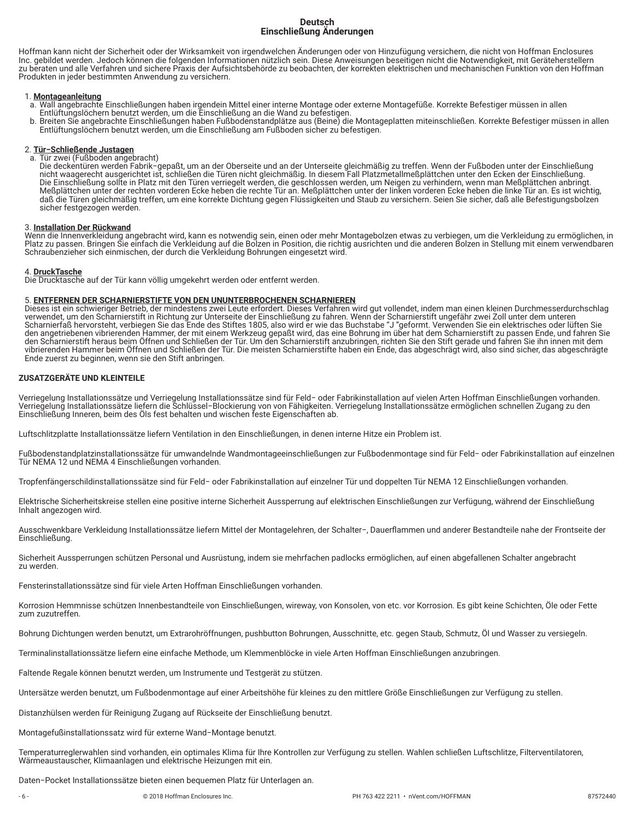# **Deutsch Einschließung Änderungen**

Hoffman kann nicht der Sicherheit oder der Wirksamkeit von irgendwelchen Änderungen oder von Hinzufügung versichern, die nicht von Hoffman Enclosures Inc. gebildet werden. Jedoch können die folgenden Informationen nützlich sein. Diese Anweisungen beseitigen nicht die Notwendigkeit, mit Geräteherstellern zu beraten und alle Verfahren und sichere Praxis der Aufsichtsbehörde zu beobachten, der korrekten elektrischen und mechanischen Funktion von den Hoffman Produkten in jeder bestimmten Anwendung zu versichern.

# 1. **Montageanleitung**

- a. Wall angebrachte Einschließungen haben irgendein Mittel einer interne Montage oder externe Montagefüße. Korrekte Befestiger müssen in allen Entlüftungslöchern benutzt werden, um die Einschließung an die Wand zu befestigen.
- b. Breiten Sie angebrachte Einschließungen haben Fußbodenstandplätze aus (Beine) die Montageplatten miteinschließen. Korrekte Befestiger müssen in allen Entlüftungslöchern benutzt werden, um die Einschließung am Fußboden sicher zu befestigen.

# 2. **Tür−Schließende Justagen**

a. Tür zwei (Fußboden angebracht) Die deckentüren werden Fabrik−gepaßt, um an der Oberseite und an der Unterseite gleichmäßig zu treffen. Wenn der Fußboden unter der Einschließung nicht waagerecht ausgerichtet ist, schließen die Türen nicht gleichmäßig. In diesem Fall Platzmetallmeßplättchen unter den Ecken der Einschließung. Die Einschließung sollte in Platz mit den Türen verriegelt werden, die geschlossen werden, um Neigen zu verhindern, wenn man Meßplättchen anbringt. Meßplättchen unter der rechten vorderen Ecke heben die rechte Tür an. Meßplättchen unter der linken vorderen Ecke heben die linke Tür an. Es ist wichtig, daß die Türen gleichmäßig treffen, um eine korrekte Dichtung gegen Flüssigkeiten und Staub zu versichern. Seien Sie sicher, daß alle Befestigungsbolzen sicher festgezogen werden.

## 3. **Installation Der Rückwand**

Wenn die Innenverkleidung angebracht wird, kann es notwendig sein, einen oder mehr Montagebolzen etwas zu verbiegen, um die Verkleidung zu ermöglichen, in Platz zu passen. Bringen Sie einfach die Verkleidung auf die Bolzen in Position, die richtig ausrichten und die anderen Bolzen in Stellung mit einem verwendbaren Schraubenzieher sich einmischen, der durch die Verkleidung Bohrungen eingesetzt wird.

# 4. **DruckTasche**

Die Drucktasche auf der Tür kann völlig umgekehrt werden oder entfernt werden.

# 5. **ENTFERNEN DER SCHARNIERSTIFTE VON DEN UNUNTERBROCHENEN SCHARNIEREN**

Dieses ist ein schwieriger Betrieb, der mindestens zwei Leute erfordert. Dieses Verfahren wird gut vollendet, indem man einen kleinen Durchmesserdurchschlag verwendet, um den Scharnierstift in Richtung zur Unterseite der Einschließung zu fahren. Wenn der Scharnierstift ungefähr zwei Zoll unter dem unteren Scharnierfaß hervorsteht, verbiegen Sie das Ende des Stiftes 1805, also wird er wie das Buchstabe "J "geformt. Verwenden Sie ein elektrisches oder lüften Sie den angetriebenen vibrierenden Hammer, der mit einem Werkzeug gepaßt wird, das eine Bohrung im über hat dem Scharnierstift zu passen Ende, und fahren Sie den Scharnierstift heraus beim Öffnen und Schließen der Tür. Um den Scharnierstift anzubringen, richten Sie den Stift gerade und fahren Sie ihn innen mit dem vibrierenden Hammer beim Öffnen und Schließen der Tür. Die meisten Scharnierstifte haben ein Ende, das abgeschrägt wird, also sind sicher, das abgeschrägte Ende zuerst zu beginnen, wenn sie den Stift anbringen.

# **ZUSATZGERÄTE UND KLEINTEILE**

Verriegelung Installationssätze und Verriegelung Installationssätze sind für Feld− oder Fabrikinstallation auf vielen Arten Hoffman Einschließungen vorhanden. Verriegelung Installationssätze liefern die Schlüssel−Blockierung von von Fähigkeiten. Verriegelung Installationssätze ermöglichen schnellen Zugang zu den Einschließung Inneren, beim des Öls fest behalten und wischen feste Eigenschaften ab.

Luftschlitzplatte Installationssätze liefern Ventilation in den Einschließungen, in denen interne Hitze ein Problem ist.

Fußbodenstandplatzinstallationssätze für umwandelnde Wandmontageeinschließungen zur Fußbodenmontage sind für Feld− oder Fabrikinstallation auf einzelnen Tür NEMA 12 und NEMA 4 Einschließungen vorhanden.

Tropfenfängerschildinstallationssätze sind für Feld− oder Fabrikinstallation auf einzelner Tür und doppelten Tür NEMA 12 Einschließungen vorhanden.

Elektrische Sicherheitskreise stellen eine positive interne Sicherheit Aussperrung auf elektrischen Einschließungen zur Verfügung, während der Einschließung Inhalt angezogen wird.

Ausschwenkbare Verkleidung Installationssätze liefern Mittel der Montagelehren, der Schalter−, Dauerflammen und anderer Bestandteile nahe der Frontseite der Einschließung.

Sicherheit Aussperrungen schützen Personal und Ausrüstung, indem sie mehrfachen padlocks ermöglichen, auf einen abgefallenen Schalter angebracht zu werden.

Fensterinstallationssätze sind für viele Arten Hoffman Einschließungen vorhanden.

Korrosion Hemmnisse schützen Innenbestandteile von Einschließungen, wireway, von Konsolen, von etc. vor Korrosion. Es gibt keine Schichten, Öle oder Fette zum zuzutreffen.

Bohrung Dichtungen werden benutzt, um Extrarohröffnungen, pushbutton Bohrungen, Ausschnitte, etc. gegen Staub, Schmutz, Öl und Wasser zu versiegeln.

Terminalinstallationssätze liefern eine einfache Methode, um Klemmenblöcke in viele Arten Hoffman Einschließungen anzubringen.

Faltende Regale können benutzt werden, um Instrumente und Testgerät zu stützen.

Untersätze werden benutzt, um Fußbodenmontage auf einer Arbeitshöhe für kleines zu den mittlere Größe Einschließungen zur Verfügung zu stellen.

Distanzhülsen werden für Reinigung Zugang auf Rückseite der Einschließung benutzt.

Montagefußinstallationssatz wird für externe Wand−Montage benutzt.

Temperaturreglerwahlen sind vorhanden, ein optimales Klima für Ihre Kontrollen zur Verfügung zu stellen. Wahlen schließen Luftschlitze, Filterventilatoren, Wärmeaustauscher, Klimaanlagen und elektrische Heizungen mit ein.

Daten−Pocket Installationssätze bieten einen bequemen Platz für Unterlagen an.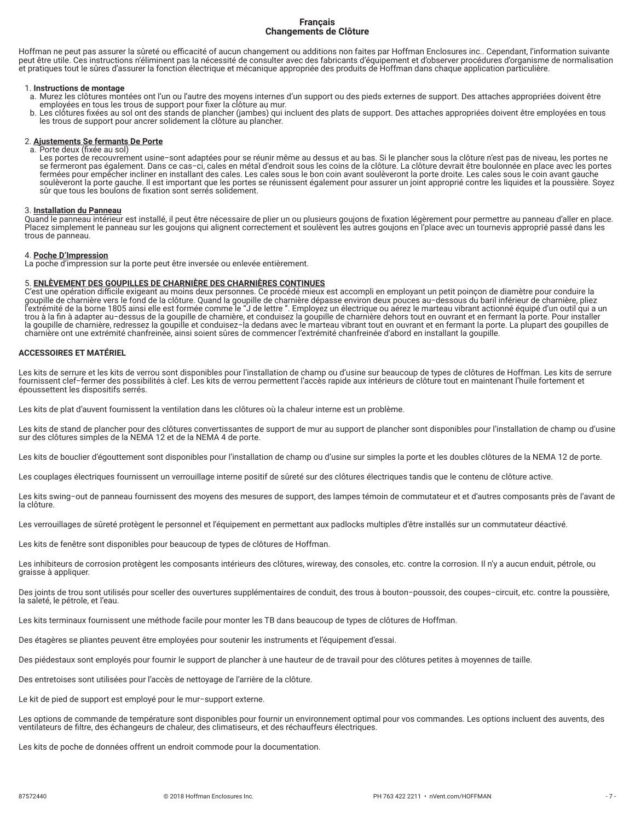## **Français Changements de Clôture**

Hoffman ne peut pas assurer la sûreté ou efficacité of aucun changement ou additions non faites par Hoffman Enclosures inc.. Cependant, l'information suivante peut être utile. Ces instructions n'éliminent pas la nécessité de consulter avec des fabricants d'équipement et d'observer procédures d'organisme de normalisation et pratiques tout le sûres d'assurer la fonction électrique et mécanique appropriée des produits de Hoffman dans chaque application particulière.

#### 1. **Instructions de montage**

- a. Murez les clôtures montées ont l'un ou l'autre des moyens internes d'un support ou des pieds externes de support. Des attaches appropriées doivent être employées en tous les trous de support pour fixer la clôture au mur.
- b. Les clôtures fixées au sol ont des stands de plancher (jambes) qui incluent des plats de support. Des attaches appropriées doivent être employées en tous les trous de support pour ancrer solidement la clôture au plancher.

# 2. **Ajustements Se fermants De Porte**

a. Porte deux (fixée au sol) Les portes de recouvrement usine−sont adaptées pour se réunir même au dessus et au bas. Si le plancher sous la clôture n'est pas de niveau, les portes ne se fermeront pas également. Dans ce cas−ci, cales en métal d'endroit sous les coins de la clôture. La clôture devrait être boulonnée en place avec les portes fermées pour empêcher incliner en installant des cales. Les cales sous le bon coin avant soulèveront la porte droite. Les cales sous le coin avant gauche soulèveront la porte gauche. Il est important que les portes se réunissent également pour assurer un joint approprié contre les liquides et la poussière. Soyez sûr que tous les boulons de fixation sont serrés solidement.

#### 3. **Installation du Panneau**

Quand le panneau intérieur est installé, il peut être nécessaire de plier un ou plusieurs goujons de fixation légèrement pour permettre au panneau d'aller en place. Placez simplement le panneau sur les goujons qui alignent correctement et soulèvent les autres goujons en l'place avec un tournevis approprié passé dans les trous de panneau.

# 4. **Poche D'Impression**

La poche d'impression sur la porte peut être inversée ou enlevée entièrement.

## 5. **ENLÈVEMENT DES GOUPILLES DE CHARNIÈRE DES CHARNIÈRES CONTINUES**

C'est une opération difficile exigeant au moins deux personnes. Ce procédé mieux est accompli en employant un petit poinçon de diamètre pour conduire la<br>goupille de charnière vers le fond de la clôture. Quand la goupille d l'extrémité de la borne 1805 ainsi elle est formée comme le "J de lettre ". Employez un électrique ou aérez le marteau vibrant actionné équipé d'un outil qui a un trou à la fin à adapter au−dessus de la goupille de charnière, et conduisez la goupille de charnière dehors tout en ouvrant et en fermant la porte. Pour installer la goupille de charnière, redressez la goupille et conduisez−la dedans avec le marteau vibrant tout en ouvrant et en fermant la porte. La plupart des goupilles de charnière ont une extrémité chanfreinée, ainsi soient sûres de commencer l'extrémité chanfreinée d'abord en installant la goupille.

#### **ACCESSOIRES ET MATÉRIEL**

Les kits de serrure et les kits de verrou sont disponibles pour l'installation de champ ou d'usine sur beaucoup de types de clôtures de Hoffman. Les kits de serrure fournissent clef−fermer des possibilités à clef. Les kits de verrou permettent l'accès rapide aux intérieurs de clôture tout en maintenant l'huile fortement et époussettent les dispositifs serrés.

Les kits de plat d'auvent fournissent la ventilation dans les clôtures où la chaleur interne est un problème.

Les kits de stand de plancher pour des clôtures convertissantes de support de mur au support de plancher sont disponibles pour l'installation de champ ou d'usine sur des clôtures simples de la NEMA 12 et de la NEMA 4 de porte.

Les kits de bouclier d'égouttement sont disponibles pour l'installation de champ ou d'usine sur simples la porte et les doubles clôtures de la NEMA 12 de porte.

Les couplages électriques fournissent un verrouillage interne positif de sûreté sur des clôtures électriques tandis que le contenu de clôture active.

Les kits swing−out de panneau fournissent des moyens des mesures de support, des lampes témoin de commutateur et et d'autres composants près de l'avant de la clôture.

Les verrouillages de sûreté protègent le personnel et l'équipement en permettant aux padlocks multiples d'être installés sur un commutateur déactivé.

Les kits de fenêtre sont disponibles pour beaucoup de types de clôtures de Hoffman.

Les inhibiteurs de corrosion protègent les composants intérieurs des clôtures, wireway, des consoles, etc. contre la corrosion. Il n'y a aucun enduit, pétrole, ou graisse à appliquer.

Des joints de trou sont utilisés pour sceller des ouvertures supplémentaires de conduit, des trous à bouton−poussoir, des coupes−circuit, etc. contre la poussière, la saleté, le pétrole, et l'eau.

Les kits terminaux fournissent une méthode facile pour monter les TB dans beaucoup de types de clôtures de Hoffman.

Des étagères se pliantes peuvent être employées pour soutenir les instruments et l'équipement d'essai.

Des piédestaux sont employés pour fournir le support de plancher à une hauteur de de travail pour des clôtures petites à moyennes de taille.

Des entretoises sont utilisées pour l'accès de nettoyage de l'arrière de la clôture.

Le kit de pied de support est employé pour le mur−support externe.

Les options de commande de température sont disponibles pour fournir un environnement optimal pour vos commandes. Les options incluent des auvents, des ventilateurs de filtre, des échangeurs de chaleur, des climatiseurs, et des réchauffeurs électriques.

Les kits de poche de données offrent un endroit commode pour la documentation.